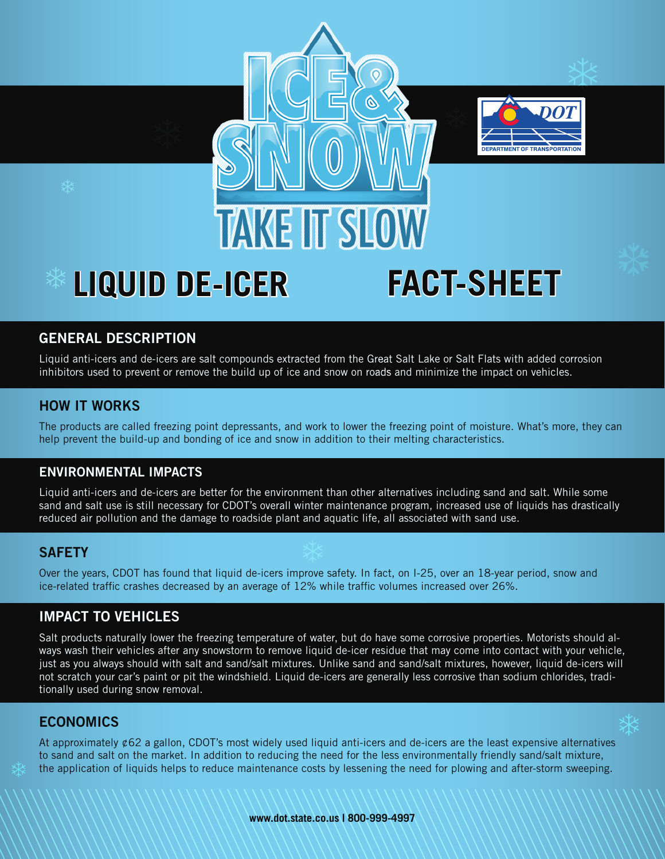



# **LIQUID DE-ICER FACT-SHEET**

# **GENERAL DESCRIPTION**

Liquid anti-icers and de-icers are salt compounds extracted from the Great Salt Lake or Salt Flats with added corrosion inhibitors used to prevent or remove the build up of ice and snow on roads and minimize the impact on vehicles.

#### **HOW IT WORKS**

The products are called freezing point depressants, and work to lower the freezing point of moisture. What's more, they can help prevent the build-up and bonding of ice and snow in addition to their melting characteristics.

#### **ENVIRONMENTAL IMPACTS**

Liquid anti-icers and de-icers are better for the environment than other alternatives including sand and salt. While some sand and salt use is still necessary for CDOT's overall winter maintenance program, increased use of liquids has drastically reduced air pollution and the damage to roadside plant and aquatic life, all associated with sand use.

#### **SAFETY**

Over the years, CDOT has found that liquid de-icers improve safety. In fact, on I-25, over an 18-year period, snow and ice-related traffic crashes decreased by an average of 12% while traffic volumes increased over 26%.

### **IMPACT TO VEHICLES**

Salt products naturally lower the freezing temperature of water, but do have some corrosive properties. Motorists should always wash their vehicles after any snowstorm to remove liquid de-icer residue that may come into contact with your vehicle, just as you always should with salt and sand/salt mixtures. Unlike sand and sand/salt mixtures, however, liquid de-icers will not scratch your car's paint or pit the windshield. Liquid de-icers are generally less corrosive than sodium chlorides, traditionally used during snow removal.

#### **ECONOMICS**

At approximately  $\ell$ 62 a gallon, CDOT's most widely used liquid anti-icers and de-icers are the least expensive alternatives to sand and salt on the market. In addition to reducing the need for the less environmentally friendly sand/salt mixture, the application of liquids helps to reduce maintenance costs by lessening the need for plowing and after-storm sweeping.